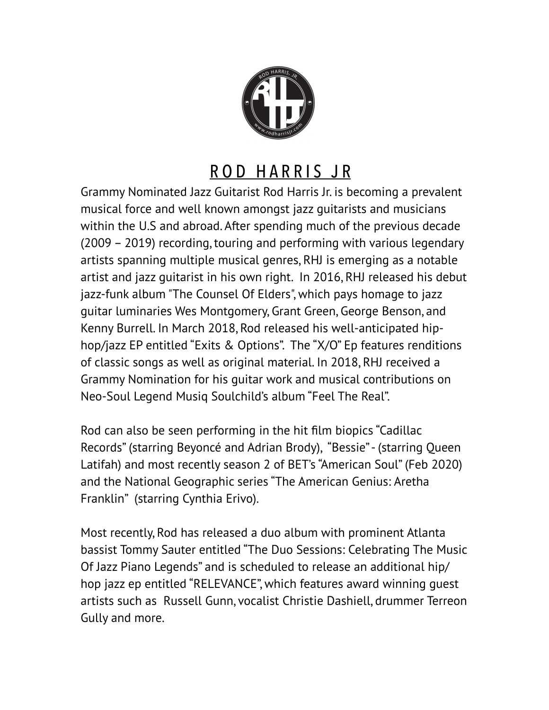

## ROD HARRIS JR

Grammy Nominated Jazz Guitarist Rod Harris Jr. is becoming a prevalent musical force and well known amongst jazz guitarists and musicians within the U.S and abroad. After spending much of the previous decade (2009 – 2019) recording, touring and performing with various legendary artists spanning multiple musical genres, RHJ is emerging as a notable artist and jazz guitarist in his own right. In 2016, RHJ released his debut jazz-funk album "The Counsel Of Elders", which pays homage to jazz guitar luminaries Wes Montgomery, Grant Green, George Benson, and Kenny Burrell. In March 2018, Rod released his well-anticipated hiphop/jazz EP entitled "Exits & Options". The "X/O" Ep features renditions of classic songs as well as original material. In 2018, RHJ received a Grammy Nomination for his guitar work and musical contributions on Neo-Soul Legend Musiq Soulchild's album "Feel The Real".

Rod can also be seen performing in the hit film biopics "Cadillac Records" (starring Beyoncé and Adrian Brody), "Bessie" - (starring Queen Latifah) and most recently season 2 of BET's "American Soul" (Feb 2020) and the National Geographic series "The American Genius: Aretha Franklin" (starring Cynthia Erivo).

Most recently, Rod has released a duo album with prominent Atlanta bassist Tommy Sauter entitled "The Duo Sessions: Celebrating The Music Of Jazz Piano Legends" and is scheduled to release an additional hip/ hop jazz ep entitled "RELEVANCE", which features award winning guest artists such as Russell Gunn, vocalist Christie Dashiell, drummer Terreon Gully and more.